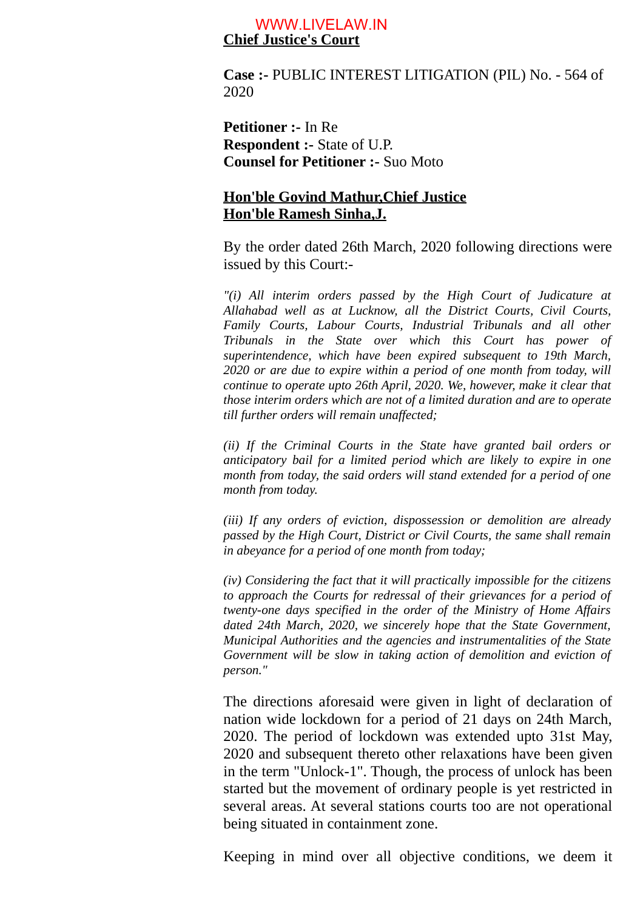## **Chief Justice's Court** WWW.LIVELAW.IN

**Case :-** PUBLIC INTEREST LITIGATION (PIL) No. - 564 of 2020

**Petitioner :-** In Re **Respondent :-** State of U.P. **Counsel for Petitioner :-** Suo Moto

## **Hon'ble Govind Mathur,Chief Justice Hon'ble Ramesh Sinha,J.**

By the order dated 26th March, 2020 following directions were issued by this Court:-

*"(i) All interim orders passed by the High Court of Judicature at Allahabad well as at Lucknow, all the District Courts, Civil Courts, Family Courts, Labour Courts, Industrial Tribunals and all other Tribunals in the State over which this Court has power of superintendence, which have been expired subsequent to 19th March, 2020 or are due to expire within a period of one month from today, will continue to operate upto 26th April, 2020. We, however, make it clear that those interim orders which are not of a limited duration and are to operate till further orders will remain unaffected;*

*(ii) If the Criminal Courts in the State have granted bail orders or anticipatory bail for a limited period which are likely to expire in one month from today, the said orders will stand extended for a period of one month from today.*

*(iii) If any orders of eviction, dispossession or demolition are already passed by the High Court, District or Civil Courts, the same shall remain in abeyance for a period of one month from today;*

*(iv) Considering the fact that it will practically impossible for the citizens to approach the Courts for redressal of their grievances for a period of twenty-one days specified in the order of the Ministry of Home Affairs dated 24th March, 2020, we sincerely hope that the State Government, Municipal Authorities and the agencies and instrumentalities of the State Government will be slow in taking action of demolition and eviction of person."*

The directions aforesaid were given in light of declaration of nation wide lockdown for a period of 21 days on 24th March, 2020. The period of lockdown was extended upto 31st May, 2020 and subsequent thereto other relaxations have been given in the term "Unlock-1". Though, the process of unlock has been started but the movement of ordinary people is yet restricted in several areas. At several stations courts too are not operational being situated in containment zone.

Keeping in mind over all objective conditions, we deem it